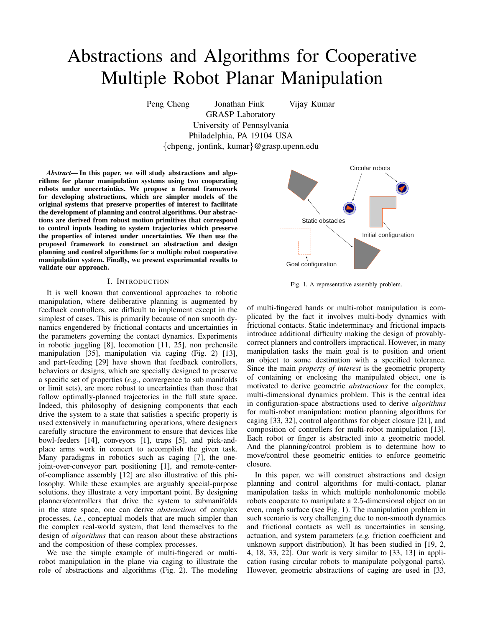# Abstractions and Algorithms for Cooperative Multiple Robot Planar Manipulation

Peng Cheng Jonathan Fink Vijay Kumar

GRASP Laboratory University of Pennsylvania Philadelphia, PA 19104 USA {chpeng, jonfink, kumar}@grasp.upenn.edu

*Abstract*— In this paper, we will study abstractions and algorithms for planar manipulation systems using two cooperating robots under uncertainties. We propose a formal framework for developing abstractions, which are simpler models of the original systems that preserve properties of interest to facilitate the development of planning and control algorithms. Our abstractions are derived from robust motion primitives that correspond to control inputs leading to system trajectories which preserve the properties of interest under uncertainties. We then use the proposed framework to construct an abstraction and design planning and control algorithms for a multiple robot cooperative manipulation system. Finally, we present experimental results to validate our approach.

## I. INTRODUCTION

It is well known that conventional approaches to robotic manipulation, where deliberative planning is augmented by feedback controllers, are difficult to implement except in the simplest of cases. This is primarily because of non smooth dynamics engendered by frictional contacts and uncertainties in the parameters governing the contact dynamics. Experiments in robotic juggling [8], locomotion [11, 25], non prehensile manipulation [35], manipulation via caging (Fig. 2) [13], and part-feeding [29] have shown that feedback controllers, behaviors or designs, which are specially designed to preserve a specific set of properties (*e.g.*, convergence to sub manifolds or limit sets), are more robust to uncertainties than those that follow optimally-planned trajectories in the full state space. Indeed, this philosophy of designing components that each drive the system to a state that satisfies a specific property is used extensively in manufacturing operations, where designers carefully structure the environment to ensure that devices like bowl-feeders [14], conveyors [1], traps [5], and pick-andplace arms work in concert to accomplish the given task. Many paradigms in robotics such as caging [7], the onejoint-over-conveyor part positioning [1], and remote-centerof-compliance assembly [12] are also illustrative of this philosophy. While these examples are arguably special-purpose solutions, they illustrate a very important point. By designing planners/controllers that drive the system to submanifolds in the state space, one can derive *abstractions* of complex processes, *i.e.*, conceptual models that are much simpler than the complex real-world system, that lend themselves to the design of *algorithms* that can reason about these abstractions and the composition of these complex processes.

We use the simple example of multi-fingered or multirobot manipulation in the plane via caging to illustrate the role of abstractions and algorithms (Fig. 2). The modeling



Fig. 1. A representative assembly problem.

of multi-fingered hands or multi-robot manipulation is complicated by the fact it involves multi-body dynamics with frictional contacts. Static indeterminacy and frictional impacts introduce additional difficulty making the design of provablycorrect planners and controllers impractical. However, in many manipulation tasks the main goal is to position and orient an object to some destination with a specified tolerance. Since the main *property of interest* is the geometric property of containing or enclosing the manipulated object, one is motivated to derive geometric *abstractions* for the complex, multi-dimensional dynamics problem. This is the central idea in configuration-space abstractions used to derive *algorithms* for multi-robot manipulation: motion planning algorithms for caging [33, 32], control algorithms for object closure [21], and composition of controllers for multi-robot manipulation [13]. Each robot or finger is abstracted into a geometric model. And the planning/control problem is to determine how to move/control these geometric entities to enforce geometric closure.

In this paper, we will construct abstractions and design planning and control algorithms for multi-contact, planar manipulation tasks in which multiple nonholonomic mobile robots cooperate to manipulate a 2.5-dimensional object on an even, rough surface (see Fig. 1). The manipulation problem in such scenario is very challenging due to non-smooth dynamics and frictional contacts as well as uncertainties in sensing, actuation, and system parameters (*e.g.* friction coefficient and unknown support distribution). It has been studied in [19, 2, 4, 18, 33, 22]. Our work is very similar to [33, 13] in application (using circular robots to manipulate polygonal parts). However, geometric abstractions of caging are used in [33,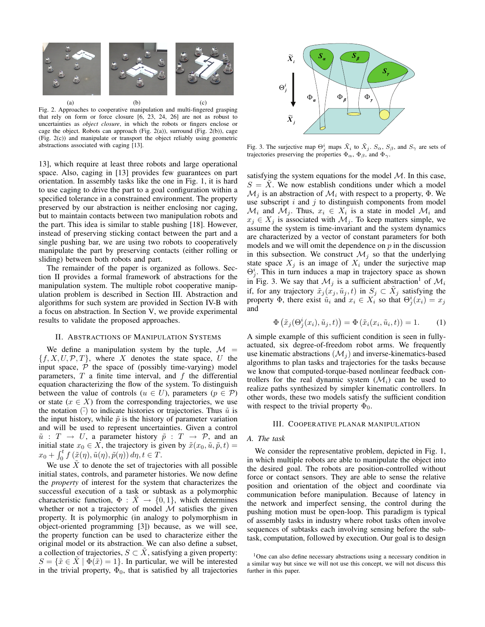

Fig. 2. Approaches to cooperative manipulation and multi-fingered grasping that rely on form or force closure [6, 23, 24, 26] are not as robust to uncertainties as *object closure*, in which the robots or fingers enclose or *xi* cage the object. Robots can approach (Fig. 2(a)), surround (Fig. 2(b)), cage (Fig. 2(c)) and manipulate or transport the object reliably using geometric abstractions associated with caging [13].

13], which require at least three robots and large operational space. Also, caging in [13] provides few guarantees on part orientation. In assembly tasks like the one in Fig. 1, it is hard to use caging to drive the part to a goal configuration within a specified tolerance in a constrained environment. The property preserved by our abstraction is neither enclosing nor caging, but to maintain contacts between two manipulation robots and the part. This idea is similar to stable pushing [18]. However, instead of preserving sticking contact between the part and a single pushing bar, we are using two robots to cooperatively manipulate the part by preserving contacts (either rolling or sliding) between both robots and part.

The remainder of the paper is organized as follows. Section II provides a formal framework of abstractions for the manipulation system. The multiple robot cooperative manipulation problem is described in Section III. Abstraction and algorithms for such system are provided in Section IV-B with a focus on abstraction. In Section V, we provide experimental results to validate the proposed approaches.

## II. ABSTRACTIONS OF MANIPULATION SYSTEMS

We define a manipulation system by the tuple,  $\mathcal{M}$  =  ${f, X, U, P, T}$ , where X denotes the state space, U the input space,  $P$  the space of (possibly time-varying) model parameters,  $T$  a finite time interval, and  $f$  the differential equation characterizing the flow of the system. To distinguish between the value of controls ( $u \in U$ ), parameters ( $p \in \mathcal{P}$ ) or state  $(x \in X)$  from the corresponding trajectories, we use the notation  $(\tilde{\cdot})$  to indicate histories or trajectories. Thus  $\tilde{u}$  is the input history, while  $\tilde{p}$  is the history of parameter variation and will be used to represent uncertainties. Given a control  $\tilde{u}$  :  $T \rightarrow U$ , a parameter history  $\tilde{p}$  :  $T \rightarrow \mathcal{P}$ , and an initial state  $x_0 \in X$ , the trajectory is given by  $\tilde{x}(x_0, \tilde{u}, \tilde{p}, t) =$  $x_0 + \int_0^t f\left(\tilde{x}(\eta), \tilde{u}(\eta), \tilde{p}(\eta)\right) d\eta, t \in \tilde{T}.$ 

We use  $\tilde{X}$  to denote the set of trajectories with all possible initial states, controls, and parameter histories. We now define the *property* of interest for the system that characterizes the successful execution of a task or subtask as a polymorphic characteristic function,  $\Phi : \tilde{X} \to \{0,1\}$ , which determines whether or not a trajectory of model  $\dot{M}$  satisfies the given property. It is polymorphic (in analogy to polymorphism in object-oriented programming [3]) because, as we will see, the property function can be used to characterize either the original model or its abstraction. We can also define a subset, a collection of trajectories,  $S \subset X$ , satisfying a given property:  $S = \{\tilde{x} \in \tilde{X} \mid \Phi(\tilde{x}) = 1\}.$  In particular, we will be interested in the trivial property,  $\Phi_0$ , that is satisfied by all trajectories



Fig. 3. The surjective map  $\Theta_j^i$  maps  $\tilde{X}_i$  to  $\tilde{X}_j$ .  $S_\alpha$ ,  $S_\beta$ , and  $S_\gamma$  are sets of trajectories preserving the properties  $\Phi_{\alpha}$ ,  $\Phi_{\beta}$ , and  $\Phi_{\gamma}$ .

satisfying the system equations for the model  $M$ . In this case,  $S = X$ . We now establish conditions under which a model  $\mathcal{M}_i$  is an abstraction of  $\mathcal{M}_i$  with respect to a property,  $\Phi$ . We use subscript  $i$  and  $j$  to distinguish components from model  $\mathcal{M}_i$  and  $\mathcal{M}_j$ . Thus,  $x_i \in X_i$  is a state in model  $\mathcal{M}_i$  and  $x_j \in X_j$  is associated with  $\mathcal{M}_j$ . To keep matters simple, we assume the system is time-invariant and the system dynamics are characterized by a vector of constant parameters for both models and we will omit the dependence on  $p$  in the discussion in this subsection. We construct  $\mathcal{M}_j$  so that the underlying state space  $X_j$  is an image of  $X_i$  under the surjective map  $\Theta_j^i$ . This in turn induces a map in trajectory space as shown in Fig. 3. We say that  $\mathcal{M}_i$  is a sufficient abstraction<sup>1</sup> of  $\mathcal{M}_i$ if, for any trajectory  $\tilde{x}_j(x_j, \tilde{u}_j, t)$  in  $S_j \subset \tilde{X}_j$  satisfying the property  $\Phi$ , there exist  $\tilde{u}_i$  and  $x_i \in X_i$  so that  $\Theta_j^i(x_i) = x_j$ and

$$
\Phi\left(\tilde{x}_j(\Theta_j^i(x_i), \tilde{u}_j, t)\right) = \Phi\left(\tilde{x}_i(x_i, \tilde{u}_i, t)\right) = 1.
$$
 (1)

A simple example of this sufficient condition is seen in fullyactuated, six degree-of-freedom robot arms. We frequently use kinematic abstractions  $(\mathcal{M}_i)$  and inverse-kinematics-based algorithms to plan tasks and trajectories for the tasks because we know that computed-torque-based nonlinear feedback controllers for the real dynamic system  $(\mathcal{M}_i)$  can be used to realize paths synthesized by simpler kinematic controllers. In other words, these two models satisfy the sufficient condition with respect to the trivial property  $\Phi_0$ .

#### III. COOPERATIVE PLANAR MANIPULATION

## *A. The task*

We consider the representative problem, depicted in Fig. 1, in which multiple robots are able to manipulate the object into the desired goal. The robots are position-controlled without force or contact sensors. They are able to sense the relative position and orientation of the object and coordinate via communication before manipulation. Because of latency in the network and imperfect sensing, the control during the pushing motion must be open-loop. This paradigm is typical of assembly tasks in industry where robot tasks often involve sequences of subtasks each involving sensing before the subtask, computation, followed by execution. Our goal is to design

<sup>&</sup>lt;sup>1</sup>One can also define necessary abstractions using a necessary condition in a similar way but since we will not use this concept, we will not discuss this further in this paper.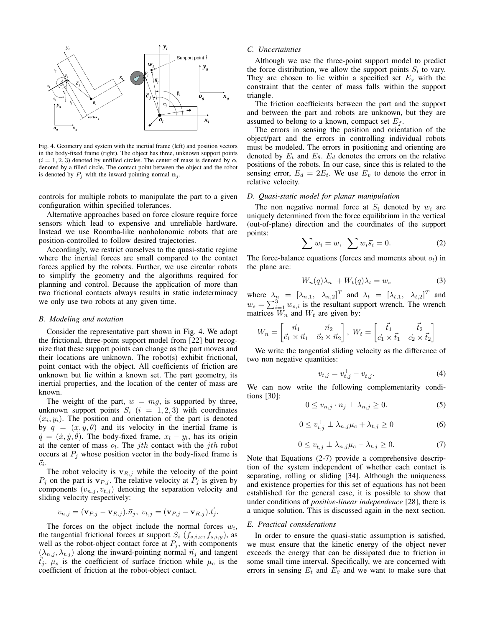

Fig. 4. Geometry and system with the inertial frame (left) and position vectors in the body-fixed frame (right). The object has three, unknown support points  $(i = 1, 2, 3)$  denoted by unfilled circles. The center of mass is denoted by  $\mathbf{o}$ , denoted by a filled circle. The contact point between the object and the robot is denoted by  $P_i$  with the inward-pointing normal  $n_i$ .

controls for multiple robots to manipulate the part to a given configuration within specified tolerances.

Alternative approaches based on force closure require force sensors which lead to expensive and unreliable hardware. Instead we use Roomba-like nonholonomic robots that are position-controlled to follow desired trajectories.

Accordingly, we restrict ourselves to the quasi-static regime where the inertial forces are small compared to the contact forces applied by the robots. Further, we use circular robots to simplify the geometry and the algorithms required for planning and control. Because the application of more than two frictional contacts always results in static indeterminacy we only use two robots at any given time.

#### *B. Modeling and notation*

Consider the representative part shown in Fig. 4. We adopt the frictional, three-point support model from [22] but recognize that these support points can change as the part moves and their locations are unknown. The robot(s) exhibit frictional, point contact with the object. All coefficients of friction are unknown but lie within a known set. The part geometry, its inertial properties, and the location of the center of mass are known.

The weight of the part,  $w = mg$ , is supported by three, unknown support points  $S_i$  ( $i = 1, 2, 3$ ) with coordinates  $(x<sub>i</sub>, y<sub>i</sub>)$ . The position and orientation of the part is denoted by  $q = (x, y, \theta)$  and its velocity in the inertial frame is  $\dot{q} = (\dot{x}, \dot{y}, \dot{\theta})$ . The body-fixed frame,  $x_l - y_l$ , has its origin at the center of mass  $o_l$ . The *j*th contact with the *j*th robot occurs at  $P_i$  whose position vector in the body-fixed frame is  $\vec{c_i}$ .

The robot velocity is  $\mathbf{v}_{R,j}$  while the velocity of the point  $P_j$  on the part is  $\mathbf{v}_{P,j}$ . The relative velocity at  $P_j$  is given by components  $(v_{n,j}, v_{t,j})$  denoting the separation velocity and sliding velocity respectively:

$$
v_{n,j} = (\mathbf{v}_{P,j} - \mathbf{v}_{R,j}).\vec{n}_j, v_{t,j} = (\mathbf{v}_{P,j} - \mathbf{v}_{R,j}).\vec{t}_j.
$$

The forces on the object include the normal forces  $w_i$ , the tangential frictional forces at support  $S_i$   $(f_{s,i,x}, f_{s,i,y})$ , as well as the robot-object contact force at  $P_j$ , with components  $(\lambda_{n,j}, \lambda_{t,j})$  along the inward-pointing normal  $\vec{n}_j$  and tangent  $\vec{t}_j$ .  $\mu_s$  is the coefficient of surface friction while  $\mu_c$  is the coefficient of friction at the robot-object contact.

## *C. Uncertainties*

Although we use the three-point support model to predict the force distribution, we allow the support points  $S_i$  to vary. They are chosen to lie within a specified set  $E<sub>s</sub>$  with the constraint that the center of mass falls within the support triangle.

The friction coefficients between the part and the support and between the part and robots are unknown, but they are assumed to belong to a known, compact set  $E_f$ .

must be modeled. The errors in positioning and orienting are denoted by  $E_t$  and  $E_\theta$ .  $E_d$  denotes the errors on the relative *xg* object/part and the errors in controlling individual robots The errors in sensing the position and orientation of the positions of the robots. In our case, since this is related to the sensing error,  $E_d = 2E_t$ . We use  $E_v$  to denote the error in relative velocity.

# *D. Quasi-static model for planar manipulation*

The non negative normal force at  $S_i$  denoted by  $w_i$  are uniquely determined from the force equilibrium in the vertical (out-of-plane) direction and the coordinates of the support points:

$$
\sum w_i = w, \sum w_i \vec{s}_i = 0. \tag{2}
$$

The force-balance equations (forces and moments about  $o_l$ ) in the plane are:

$$
W_n(q)\lambda_n + W_t(q)\lambda_t = w_s \tag{3}
$$

where  $\lambda_n = [\lambda_{n,1}, \lambda_{n,2}]^T$  and  $\lambda_t = [\lambda_{t,1}, \lambda_{t,2}]^T$  and  $w_s = \sum_{i=1}^3 w_{s,i}$  is the resultant support wrench. The wrench matrices  $W_n$  and  $W_t$  are given by:

$$
W_n = \begin{bmatrix} \vec{n}_1 & \vec{n}_2 \\ \vec{c}_1 \times \vec{n}_1 & \vec{c}_2 \times \vec{n}_2 \end{bmatrix}, W_t = \begin{bmatrix} \vec{t}_1 & \vec{t}_2 \\ \vec{c}_1 \times \vec{t}_1 & \vec{c}_2 \times \vec{t}_2 \end{bmatrix}
$$

We write the tangential sliding velocity as the difference of two non negative quantities:

$$
v_{t,j} = v_{t,j}^+ - v_{t,j}^-.
$$
 (4)

We can now write the following complementarity conditions [30]:

$$
0 \le v_{n,j} \cdot n_j \perp \lambda_{n,j} \ge 0. \tag{5}
$$

$$
0 \le v_{t,j}^+ \perp \lambda_{n,j} \mu_c + \lambda_{t,j} \ge 0 \tag{6}
$$

$$
0 \le v_{t,j}^- \perp \lambda_{n,j} \mu_c - \lambda_{t,j} \ge 0. \tag{7}
$$

Note that Equations (2-7) provide a comprehensive description of the system independent of whether each contact is separating, rolling or sliding [34]. Although the uniqueness and existence properties for this set of equations has not been established for the general case, it is possible to show that under conditions of *positive-linear independence* [28], there is a unique solution. This is discussed again in the next section.

#### *E. Practical considerations*

In order to ensure the quasi-static assumption is satisfied, we must ensure that the kinetic energy of the object never exceeds the energy that can be dissipated due to friction in some small time interval. Specifically, we are concerned with errors in sensing  $E_t$  and  $E_\theta$  and we want to make sure that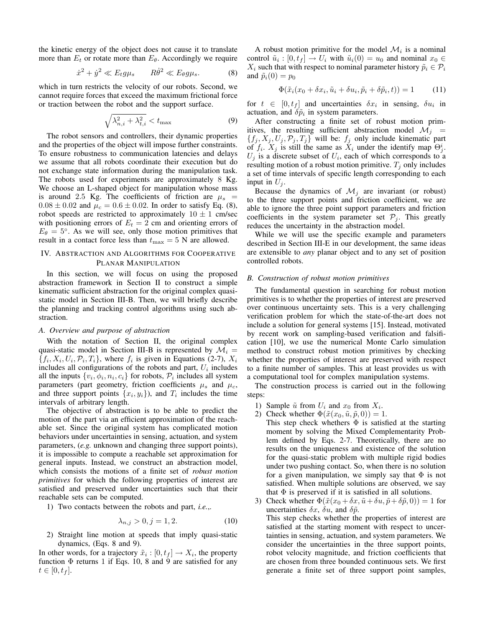the kinetic energy of the object does not cause it to translate more than  $E_t$  or rotate more than  $E_{\theta}$ . Accordingly we require

$$
\dot{x}^2 + \dot{y}^2 \ll E_t g \mu_s \qquad R \dot{\theta}^2 \ll E_\theta g \mu_s. \tag{8}
$$

which in turn restricts the velocity of our robots. Second, we cannot require forces that exceed the maximum frictional force or traction between the robot and the support surface.

$$
\sqrt{\lambda_{n,i}^2 + \lambda_{t,i}^2} < t_{\text{max}} \tag{9}
$$

The robot sensors and controllers, their dynamic properties and the properties of the object will impose further constraints. To ensure robustness to communication latencies and delays we assume that all robots coordinate their execution but do not exchange state information during the manipulation task. The robots used for experiments are approximately 8 Kg. We choose an L-shaped object for manipulation whose mass is around 2.5 Kg. The coefficients of friction are  $\mu_s$  =  $0.08 \pm 0.02$  and  $\mu_c = 0.6 \pm 0.02$ . In order to satisfy Eq. (8), robot speeds are restricted to approximately  $10 \pm 1$  cm/sec with positioning errors of  $E_t = 2$  cm and orienting errors of  $E_{\theta} = 5^{\circ}$ . As we will see, only those motion primitives that result in a contact force less than  $t_{\text{max}} = 5$  N are allowed.

# IV. ABSTRACTION AND ALGORITHMS FOR COOPERATIVE PLANAR MANIPULATION

In this section, we will focus on using the proposed abstraction framework in Section II to construct a simple kinematic sufficient abstraction for the original complex quasistatic model in Section III-B. Then, we will briefly describe the planning and tracking control algorithms using such abstraction.

## *A. Overview and purpose of abstraction*

With the notation of Section II, the original complex quasi-static model in Section III-B is represented by  $\mathcal{M}_i =$  $\{f_i, X_i, U_i, \mathcal{P}_i, T_i\}$ , where  $f_i$  is given in Equations (2-7),  $X_i$ includes all configurations of the robots and part,  $U_i$  includes all the inputs  $\{v_i, \phi_i, n_i, c_i\}$  for robots,  $\mathcal{P}_i$  includes all system parameters (part geometry, friction coefficients  $\mu_s$  and  $\mu_c$ , and three support points  $\{x_i, y_i\}$ , and  $T_i$  includes the time intervals of arbitrary length.

The objective of abstraction is to be able to predict the motion of the part via an efficient approximation of the reachable set. Since the original system has complicated motion behaviors under uncertainties in sensing, actuation, and system parameters, (*e.g.* unknown and changing three support points), it is impossible to compute a reachable set approximation for general inputs. Instead, we construct an abstraction model, which consists the motions of a finite set of *robust motion primitives* for which the following properties of interest are satisfied and preserved under uncertainties such that their reachable sets can be computed.

1) Two contacts between the robots and part, *i.e.*,.

$$
\lambda_{n,j} > 0, j = 1, 2. \tag{10}
$$

2) Straight line motion at speeds that imply quasi-static dynamics, (Eqs. 8 and 9).

In other words, for a trajectory  $\tilde{x}_i : [0, t_f] \to X_i$ , the property function  $\Phi$  returns 1 if Eqs. 10, 8 and 9 are satisfied for any  $t \in [0, t_f].$ 

A robust motion primitive for the model  $\mathcal{M}_i$  is a nominal control  $\tilde{u}_i : [0, t_f] \to U_i$  with  $\tilde{u}_i(0) = u_0$  and nominal  $x_0 \in$  $X_i$  such that with respect to nominal parameter history  $\tilde{p}_i \in \mathcal{P}_i$ and  $\tilde{p}_i(0) = p_0$ 

$$
\Phi(\tilde{x}_i(x_0 + \delta x_i, \tilde{u}_i + \delta u_i, \tilde{p}_i + \delta \tilde{p}_i, t)) = 1 \tag{11}
$$

for  $t \in [0, t_f]$  and uncertainties  $\delta x_i$  in sensing,  $\delta u_i$  in actuation, and  $\delta \tilde{p}_i$  in system parameters.

After constructing a finite set of robust motion primitives, the resulting sufficient abstraction model  $\mathcal{M}_j$  =  $\{f_j, X_j, U_j, \mathcal{P}_j, T_j\}$  will be:  $f_j$  only include kinematic part of  $f_i$ .  $X_j$  is still the same as  $X_i$  under the identify map  $\Theta_j^i$ .  $U_j$  is a discrete subset of  $U_i$ , each of which corresponds to a resulting motion of a robust motion primitive.  $T_i$  only includes a set of time intervals of specific length corresponding to each input in  $U_j$ .

Because the dynamics of  $\mathcal{M}_j$  are invariant (or robust) to the three support points and friction coefficient, we are able to ignore the three point support parameters and friction coefficients in the system parameter set  $P_j$ . This greatly reduces the uncertainty in the abstraction model.

While we will use the specific example and parameters described in Section III-E in our development, the same ideas are extensible to *any* planar object and to any set of position controlled robots.

## *B. Construction of robust motion primitives*

The fundamental question in searching for robust motion primitives is to whether the properties of interest are preserved over continuous uncertainty sets. This is a very challenging verification problem for which the state-of-the-art does not include a solution for general systems [15]. Instead, motivated by recent work on sampling-based verification and falsification [10], we use the numerical Monte Carlo simulation method to construct robust motion primitives by checking whether the properties of interest are preserved with respect to a finite number of samples. This at least provides us with a computational tool for complex manipulation systems.

The construction process is carried out in the following steps:

- 1) Sample  $\tilde{u}$  from  $U_i$  and  $x_0$  from  $X_i$ .
- 2) Check whether  $\Phi(\tilde{x}(x_0, \tilde{u}, \tilde{p}, 0)) = 1$ .
- This step check whethers  $\Phi$  is satisfied at the starting moment by solving the Mixed Complementarity Problem defined by Eqs. 2-7. Theoretically, there are no results on the uniqueness and existence of the solution for the quasi-static problem with multiple rigid bodies under two pushing contact. So, when there is no solution for a given manipulation, we simply say that  $\Phi$  is not satisfied. When multiple solutions are observed, we say that  $\Phi$  is preserved if it is satisfied in all solutions.
- 3) Check whether  $\Phi(\tilde{x}(x_0 + \delta x, \tilde{u} + \delta u, \tilde{p} + \delta \tilde{p}, 0)) = 1$  for uncertainties  $\delta x$ ,  $\delta u$ , and  $\delta \tilde{p}$ .

This step checks whether the properties of interest are satisfied at the starting moment with respect to uncertainties in sensing, actuation, and system parameters. We consider the uncertainties in the three support points, robot velocity magnitude, and friction coefficients that are chosen from three bounded continuous sets. We first generate a finite set of three support point samples,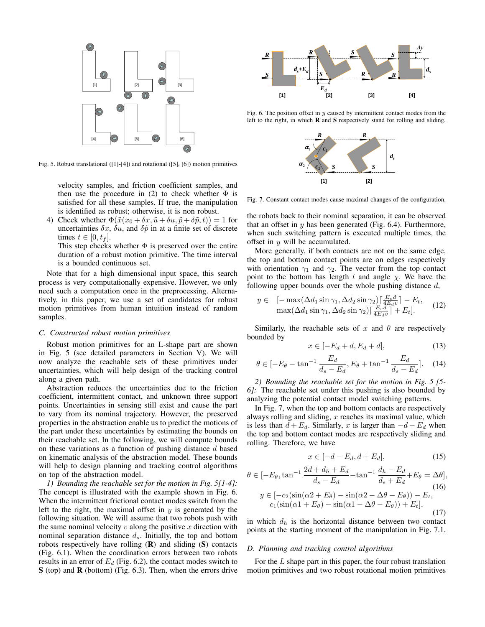

Fig. 5. Robust translational ([1]-[4]) and rotational ([5], [6]) motion primitives

velocity samples, and friction coefficient samples, and then use the procedure in (2) to check whether  $\Phi$  is satisfied for all these samples. If true, the manipulation is identified as robust; otherwise, it is non robust.

4) Check whether  $\Phi(\tilde{x}(x_0 + \delta x, \tilde{u} + \delta u, \tilde{p} + \delta \tilde{p}, t)) = 1$  for uncertainties  $\delta x$ ,  $\delta u$ , and  $\delta \tilde{p}$  in at a finite set of discrete times  $t \in [0, t_f]$ .

This step checks whether  $\Phi$  is preserved over the entire duration of a robust motion primitive. The time interval is a bounded continuous set.

Note that for a high dimensional input space, this search process is very computationally expensive. However, we only need such a computation once in the preprocessing. Alternatively, in this paper, we use a set of candidates for robust motion primitives from human intuition instead of random samples.

#### *C. Constructed robust motion primitives*

Robust motion primitives for an L-shape part are shown in Fig. 5 (see detailed parameters in Section V). We will now analyze the reachable sets of these primitives under uncertainties, which will help design of the tracking control along a given path.

Abstraction reduces the uncertainties due to the friction coefficient, intermittent contact, and unknown three support points. Uncertainties in sensing still exist and cause the part to vary from its nominal trajectory. However, the preserved properties in the abstraction enable us to predict the motions of the part under these uncertainties by estimating the bounds on their reachable set. In the following, we will compute bounds on these variations as a function of pushing distance  $d$  based on kinematic analysis of the abstraction model. These bounds will help to design planning and tracking control algorithms on top of the abstraction model.

*1) Bounding the reachable set for the motion in Fig. 5[1-4]:* The concept is illustrated with the example shown in Fig. 6. When the intermittent frictional contact modes switch from the left to the right, the maximal offset in  $y$  is generated by the following situation. We will assume that two robots push with the same nominal velocity  $v$  along the positive  $x$  direction with nominal separation distance  $d_s$ . Initially, the top and bottom robots respectively have rolling  $(R)$  and sliding  $(S)$  contacts (Fig. 6.1). When the coordination errors between two robots results in an error of  $E_d$  (Fig. 6.2), the contact modes switch to S (top) and **R** (bottom) (Fig. 6.3). Then, when the errors drive



Fig. 6. The position offset in  $y$  caused by intermittent contact modes from the left to the right, in which R and S respectively stand for rolling and sliding.



Fig. 7. Constant contact modes cause maximal changes of the configuration.

that an offset in  $y$  has been generated (Fig. 6.4). Furthermore, the robots back to their nominal separation, it can be observed when such switching pattern is executed multiple times, the offset in  $y$  will be accumulated.

More generally, if both contacts are not on the same edge, the top and bottom contact points are on edges respectively with orientation  $\gamma_1$  and  $\gamma_2$ . The vector from the top contact point to the bottom has length l and angle  $\chi$ . We have the following upper bounds over the whole pushing distance  $d$ ,

$$
y \in [-\max(\Delta d_1 \sin \gamma_1, \Delta d_2 \sin \gamma_2)] \frac{E_v d}{4E_d v} - E_t,
$$
  

$$
\max(\Delta d_1 \sin \gamma_1, \Delta d_2 \sin \gamma_2) \frac{E_v d}{4E_d v} + E_t].
$$
 (12)

Similarly, the reachable sets of x and  $\theta$  are respectively bounded by

$$
x \in [-E_d + d, E_d + d],\tag{13}
$$

$$
\theta \in [-E_{\theta} - \tan^{-1} \frac{E_d}{d_s - E_d}, E_{\theta} + \tan^{-1} \frac{E_d}{d_s - E_d}].
$$
 (14)

*2) Bounding the reachable set for the motion in Fig. 5 [5- 6]:* The reachable set under this pushing is also bounded by analyzing the potential contact model switching patterns.

In Fig. 7, when the top and bottom contacts are respectively always rolling and sliding,  $x$  reaches its maximal value, which is less than  $d + E_d$ . Similarly, x is larger than  $-d - E_d$  when the top and bottom contact modes are respectively sliding and rolling. Therefore, we have

$$
x \in [-d - E_d, d + E_d],\tag{15}
$$

$$
\theta \in [-E_{\theta}, \tan^{-1} \frac{2d + d_h + E_d}{d_s - E_d} - \tan^{-1} \frac{d_h - E_d}{d_s + E_d} + E_{\theta} = \Delta \theta],
$$
  
\n
$$
y \in [-c_2(\sin(\alpha 2 + E_{\theta}) - \sin(\alpha 2 - \Delta \theta - E_{\theta})) - E_t,
$$
  
\n
$$
c_1(\sin(\alpha 1 + E_{\theta}) - \sin(\alpha 1 - \Delta \theta - E_{\theta})) + E_t],
$$
\n(17)

in which  $d_h$  is the horizontal distance between two contact points at the starting moment of the manipulation in Fig. 7.1.

#### *D. Planning and tracking control algorithms*

For the  $L$  shape part in this paper, the four robust translation motion primitives and two robust rotational motion primitives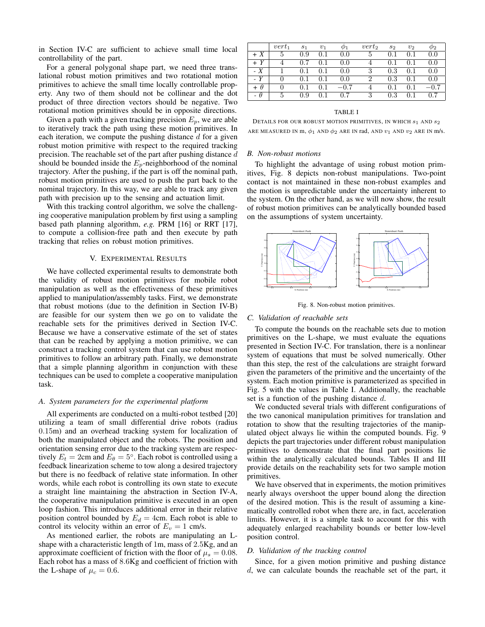in Section IV-C are sufficient to achieve small time local controllability of the part.

For a general polygonal shape part, we need three translational robust motion primitives and two rotational motion primitives to achieve the small time locally controllable property. Any two of them should not be collinear and the dot product of three direction vectors should be negative. Two rotational motion primitives should be in opposite directions.

Given a path with a given tracking precision  $E_p$ , we are able to iteratively track the path using these motion primitives. In each iteration, we compute the pushing distance  $d$  for a given robust motion primitive with respect to the required tracking precision. The reachable set of the part after pushing distance  $d$ should be bounded inside the  $E_p$ -neighborhood of the nominal trajectory. After the pushing, if the part is off the nominal path, robust motion primitives are used to push the part back to the nominal trajectory. In this way, we are able to track any given path with precision up to the sensing and actuation limit.

With this tracking control algorithm, we solve the challenging cooperative manipulation problem by first using a sampling based path planning algorithm, *e.g.* PRM [16] or RRT [17], to compute a collision-free path and then execute by path tracking that relies on robust motion primitives.

## V. EXPERIMENTAL RESULTS

We have collected experimental results to demonstrate both the validity of robust motion primitives for mobile robot manipulation as well as the effectiveness of these primitives applied to manipulation/assembly tasks. First, we demonstrate that robust motions (due to the definition in Section IV-B) are feasible for our system then we go on to validate the reachable sets for the primitives derived in Section IV-C. Because we have a conservative estimate of the set of states that can be reached by applying a motion primitive, we can construct a tracking control system that can use robust motion primitives to follow an arbitrary path. Finally, we demonstrate that a simple planning algorithm in conjunction with these techniques can be used to complete a cooperative manipulation task.

#### *A. System parameters for the experimental platform*

All experiments are conducted on a multi-robot testbed [20] utilizing a team of small differential drive robots (radius 0.15m) and an overhead tracking system for localization of both the manipulated object and the robots. The position and orientation sensing error due to the tracking system are respectively  $E_t = 2$ cm and  $E_\theta = 5^\circ$ . Each robot is controlled using a feedback linearization scheme to tow along a desired trajectory but there is no feedback of relative state information. In other words, while each robot is controlling its own state to execute a straight line maintaining the abstraction in Section IV-A, the cooperative manipulation primitive is executed in an open loop fashion. This introduces additional error in their relative position control bounded by  $E_d = 4$ cm. Each robot is able to control its velocity within an error of  $E_v = 1$  cm/s.

As mentioned earlier, the robots are manipulating an Lshape with a characteristic length of 1m, mass of 2.5Kg, and an approximate coefficient of friction with the floor of  $\mu_s = 0.08$ . Each robot has a mass of 8.6Kg and coefficient of friction with the L-shape of  $\mu_c = 0.6$ .

|          | $vert_1$ | S <sub>1</sub> | $v_1$ | ω1     | $vert_2$     | S <sub>2</sub> | v <sub>2</sub> | $\varphi_2$ |
|----------|----------|----------------|-------|--------|--------------|----------------|----------------|-------------|
| $+ X$    | 5        | 0.9            | 0.1   | 0.0    | $\mathbf{D}$ | 0.1            | 0.1            | 0.0         |
| + Y      |          | 0.7            |       | 0.0    |              | 0.1            | 0.1            | 0.0         |
| $-X$     |          | 0.1            | 0.1   | 0.0    | 3            | 0.3            | 0.1            | 0.0         |
| - Ү      |          | 0.1            |       | 0.0    |              | 0.3            | 0.1            | 0.0         |
| $\theta$ |          | 0.1            |       | $-0.7$ |              | 0.1            | $0.1\,$        |             |
| - 0      | 5        | 0.9            |       | 0.7    | 3            | 0.3            |                | 0.7         |

#### TABLE I

DETAILS FOR OUR ROBUST MOTION PRIMITIVES, IN WHICH  $s_1$  AND  $s_2$ ARE MEASURED IN m,  $\phi_1$  AND  $\phi_2$  ARE IN rad, AND  $v_1$  AND  $v_2$  ARE IN m/s.

#### *B. Non-robust motions*

To highlight the advantage of using robust motion primitives, Fig. 8 depicts non-robust manipulations. Two-point contact is not maintained in these non-robust examples and the motion is unpredictable under the uncertainty inherent to the system. On the other hand, as we will now show, the result of robust motion primitives can be analytically bounded based on the assumptions of system uncertainty.



Fig. 8. Non-robust motion primitives.

# *C. Validation of reachable sets*

To compute the bounds on the reachable sets due to motion primitives on the L-shape, we must evaluate the equations presented in Section IV-C. For translation, there is a nonlinear system of equations that must be solved numerically. Other than this step, the rest of the calculations are straight forward given the parameters of the primitive and the uncertainty of the system. Each motion primitive is parameterized as specified in Fig. 5 with the values in Table I. Additionally, the reachable set is a function of the pushing distance  $d$ .

We conducted several trials with different configurations of the two canonical manipulation primitives for translation and rotation to show that the resulting trajectories of the manipulated object always lie within the computed bounds. Fig. 9 depicts the part trajectories under different robust manipulation primitives to demonstrate that the final part positions lie within the analytically calculated bounds. Tables II and III provide details on the reachability sets for two sample motion primitives.

We have observed that in experiments, the motion primitives nearly always overshoot the upper bound along the direction of the desired motion. This is the result of assuming a kinematically controlled robot when there are, in fact, acceleration limits. However, it is a simple task to account for this with adequately enlarged reachability bounds or better low-level position control.

## *D. Validation of the tracking control*

Since, for a given motion primitive and pushing distance d, we can calculate bounds the reachable set of the part, it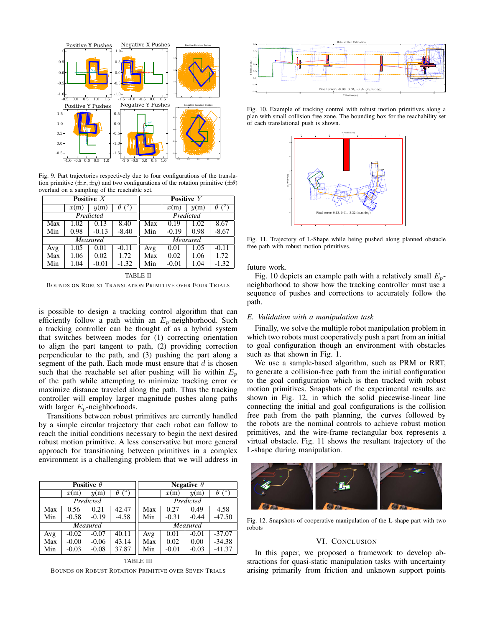

Fig. 9. Part trajectories respectively due to four configurations of the translation primitive  $(\pm x, \pm y)$  and two configurations of the rotation primitive  $(\pm \theta)$ overlaid on a sampling of the reachable set.

| Positive $X$ |      |         |                            | Positive Y |         |      |          |
|--------------|------|---------|----------------------------|------------|---------|------|----------|
|              | x(m) | y(m)    | $\sqrt{\circ}$<br>$\theta$ |            | x(m)    | y(m) | $\theta$ |
| Predicted    |      |         |                            | Predicted  |         |      |          |
| Max          | 1.02 | 0.13    | 8.40                       | Max        | 0.19    | 1.02 | 8.67     |
| Min          | 0.98 | $-0.13$ | $-8.40$                    | Min        | $-0.19$ | 0.98 | $-8.67$  |
| Measured     |      |         |                            | Measured   |         |      |          |
| Avg          | 1.05 | 0.01    | $-0.11$                    | Avg        | 0.01    | 1.05 | $-0.11$  |
| Max          | 1.06 | 0.02    | 1.72                       | Max        | 0.02    | 1.06 | 1.72     |
| Min          | 1.04 | $-0.01$ | $-1.32$                    | Min        | $-0.01$ | 1.04 | $-1.32$  |

TABLE II

BOUNDS ON ROBUST TRANSLATION PRIMITIVE OVER FOUR TRIALS

is possible to design a tracking control algorithm that can efficiently follow a path within an  $E_p$ -neighborhood. Such a tracking controller can be thought of as a hybrid system that switches between modes for (1) correcting orientation to align the part tangent to path, (2) providing correction perpendicular to the path, and (3) pushing the part along a segment of the path. Each mode must ensure that  $d$  is chosen such that the reachable set after pushing will lie within  $E_p$ of the path while attempting to minimize tracking error or maximize distance traveled along the path. Thus the tracking controller will employ larger magnitude pushes along paths with larger  $E_p$ -neighborhoods.

Transitions between robust primitives are currently handled by a simple circular trajectory that each robot can follow to reach the initial conditions necessary to begin the next desired robust motion primitive. A less conservative but more general approach for transitioning between primitives in a complex environment is a challenging problem that we will address in

|           |         | Positive $\theta$ |                            | Negative $\theta$ |         |         |                      |
|-----------|---------|-------------------|----------------------------|-------------------|---------|---------|----------------------|
|           | x(m)    | y(m)              | $\int^{\circ}$<br>$\theta$ |                   | x(m)    | y(m)    | $\theta$ ( $\circ$ ) |
| Predicted |         |                   |                            | Predicted         |         |         |                      |
| Max       | 0.56    | 0.21              | 42.47                      | Max               | 0.27    | 0.49    | 4.58                 |
| Min       | $-0.58$ | $-0.19$           | $-4.58$                    | Min               | $-0.31$ | $-0.44$ | $-47.50$             |
|           |         | Measured          |                            | Measured          |         |         |                      |
| Avg       | $-0.02$ | $-0.07$           | 40.11                      | Avg               | 0.01    | $-0.01$ | $-37.07$             |
| Max       | $-0.00$ | $-0.06$           | 43.14                      | Max               | 0.02    | 0.00    | $-34.38$             |
| Min       | $-0.03$ | $-0.08$           | 37.87                      | Min               | $-0.01$ | $-0.03$ | $-41.37$             |

TABLE III BOUNDS ON ROBUST ROTATION PRIMITIVE OVER SEVEN TRIALS



Fig. 10. Example of tracking control with robust motion primitives along a plan with small collision free zone. The bounding box for the reachability set of each translational push is shown.



Fig. 11. Trajectory of L-Shape while being pushed along planned obstacle free path with robust motion primitives.

## future work.

Fig. 10 depicts an example path with a relatively small  $E_p$ neighborhood to show how the tracking controller must use a sequence of pushes and corrections to accurately follow the path.

## *E. Validation with a manipulation task*

Finally, we solve the multiple robot manipulation problem in which two robots must cooperatively push a part from an initial to goal configuration though an environment with obstacles such as that shown in Fig. 1.

We use a sample-based algorithm, such as PRM or RRT, to generate a collision-free path from the initial configuration to the goal configuration which is then tracked with robust motion primitives. Snapshots of the experimental results are shown in Fig. 12, in which the solid piecewise-linear line connecting the initial and goal configurations is the collision free path from the path planning, the curves followed by the robots are the nominal controls to achieve robust motion primitives, and the wire-frame rectangular box represents a virtual obstacle. Fig. 11 shows the resultant trajectory of the L-shape during manipulation.



Fig. 12. Snapshots of cooperative manipulation of the L-shape part with two robots

## VI. CONCLUSION

In this paper, we proposed a framework to develop abstractions for quasi-static manipulation tasks with uncertainty arising primarily from friction and unknown support points